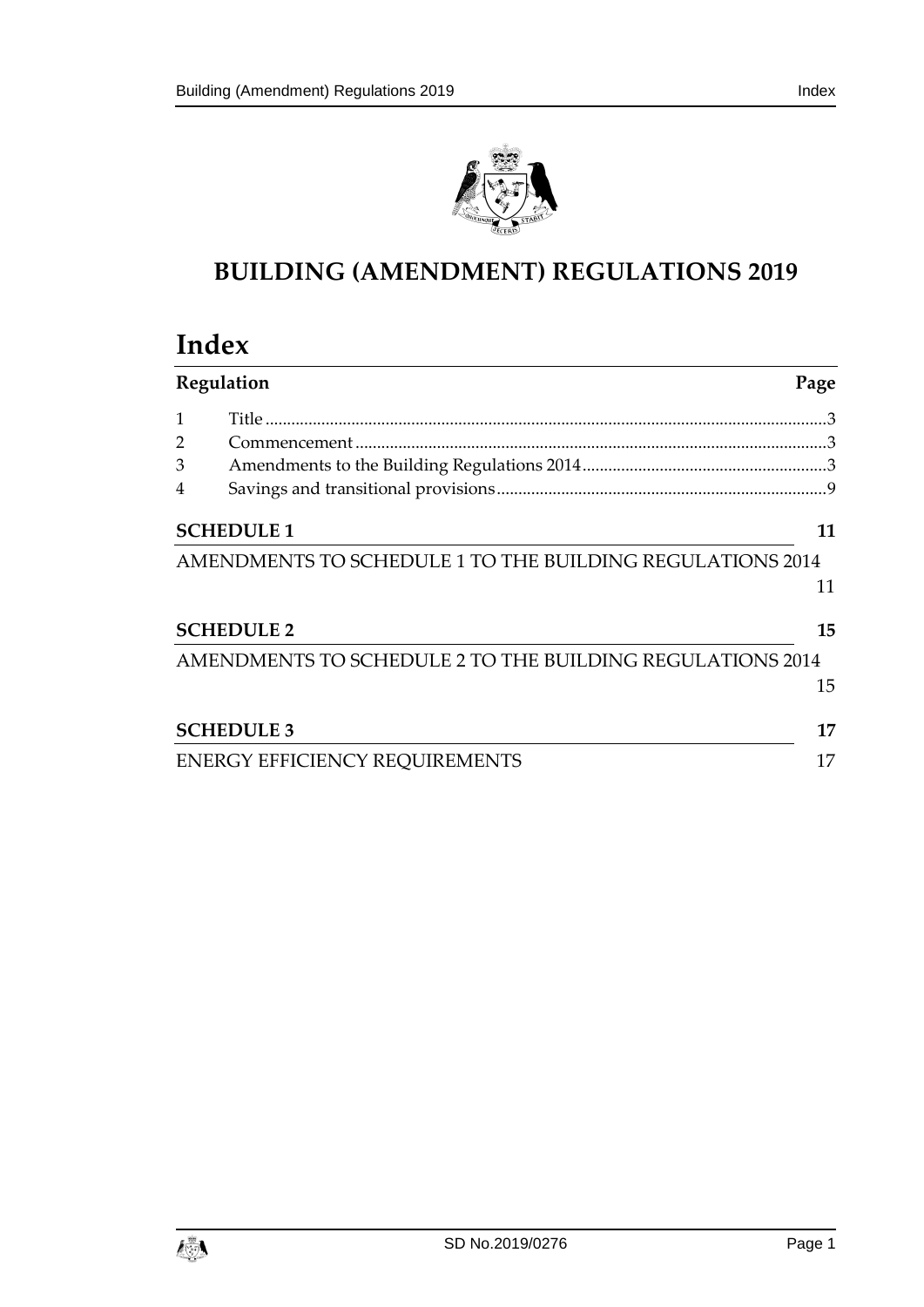

# **BUILDING (AMENDMENT) REGULATIONS 2019**

# **Index**

| Regulation     |                                                           | Page |
|----------------|-----------------------------------------------------------|------|
| 1              |                                                           |      |
| $\overline{2}$ |                                                           |      |
| 3              |                                                           |      |
| 4              |                                                           |      |
|                | <b>SCHEDULE 1</b>                                         | 11   |
|                | AMENDMENTS TO SCHEDULE 1 TO THE BUILDING REGULATIONS 2014 |      |
|                |                                                           | 11   |
|                | <b>SCHEDULE 2</b>                                         | 15   |
|                | AMENDMENTS TO SCHEDULE 2 TO THE BUILDING REGULATIONS 2014 |      |
|                |                                                           | 15   |
|                | <b>SCHEDULE 3</b>                                         | 17   |
|                | <b>ENERGY EFFICIENCY REQUIREMENTS</b>                     | 17   |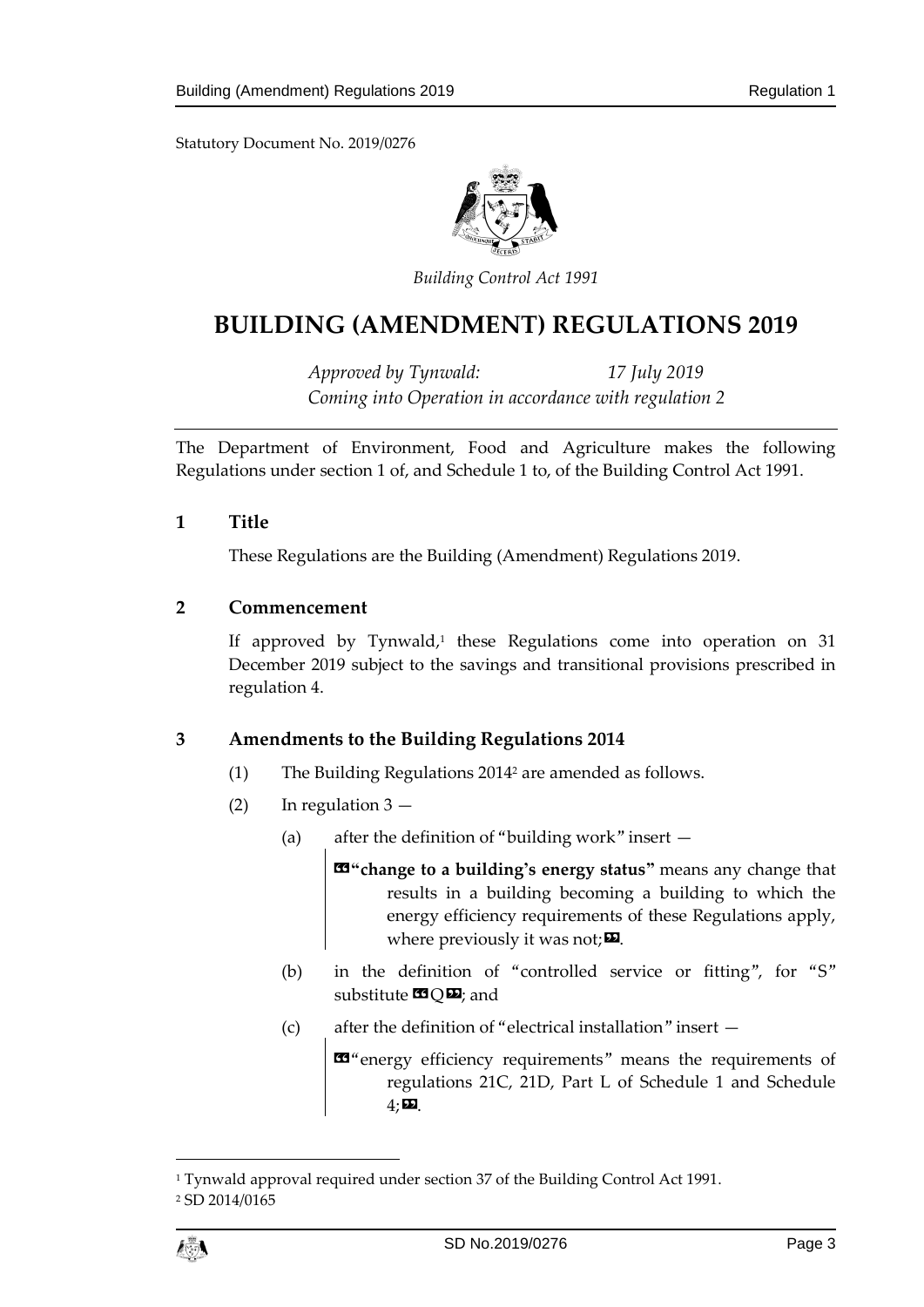Statutory Document No. 2019/0276



*Building Control Act 1991*

# **BUILDING (AMENDMENT) REGULATIONS 2019**

*Approved by Tynwald: 17 July 2019 Coming into Operation in accordance with regulation 2*

The Department of Environment, Food and Agriculture makes the following Regulations under section 1 of, and Schedule 1 to, of the Building Control Act 1991.

<span id="page-2-0"></span>**1 Title**

These Regulations are the Building (Amendment) Regulations 2019.

## <span id="page-2-1"></span>**2 Commencement**

If approved by Tynwald,<sup>1</sup> these Regulations come into operation on 31 December 2019 subject to the savings and transitional provisions prescribed in regulation 4.

## <span id="page-2-2"></span>**3 Amendments to the Building Regulations 2014**

- (1) The Building Regulations 2014<sup>2</sup> are amended as follows.
- (2) In regulation 3
	- (a) after the definition of "building work" insert —

«**"change to a building's energy status"** means any change that results in a building becoming a building to which the energy efficiency requirements of these Regulations apply, where previously it was not;  $\mathbf{\Sigma}$ .

- (b) in the definition of "controlled service or fitting", for "S" substitute  $\times$   $\odot$   $\ddot{\mathbf{z}}$ ; and
- (c) after the definition of "electrical installation" insert —

«"energy efficiency requirements" means the requirements of regulations 21C, 21D, Part L of Schedule 1 and Schedule  $4:$ 

 $\overline{a}$ 

<sup>&</sup>lt;sup>1</sup> Tynwald approval required under section 37 of the Building Control Act 1991. <sup>2</sup> SD 2014/0165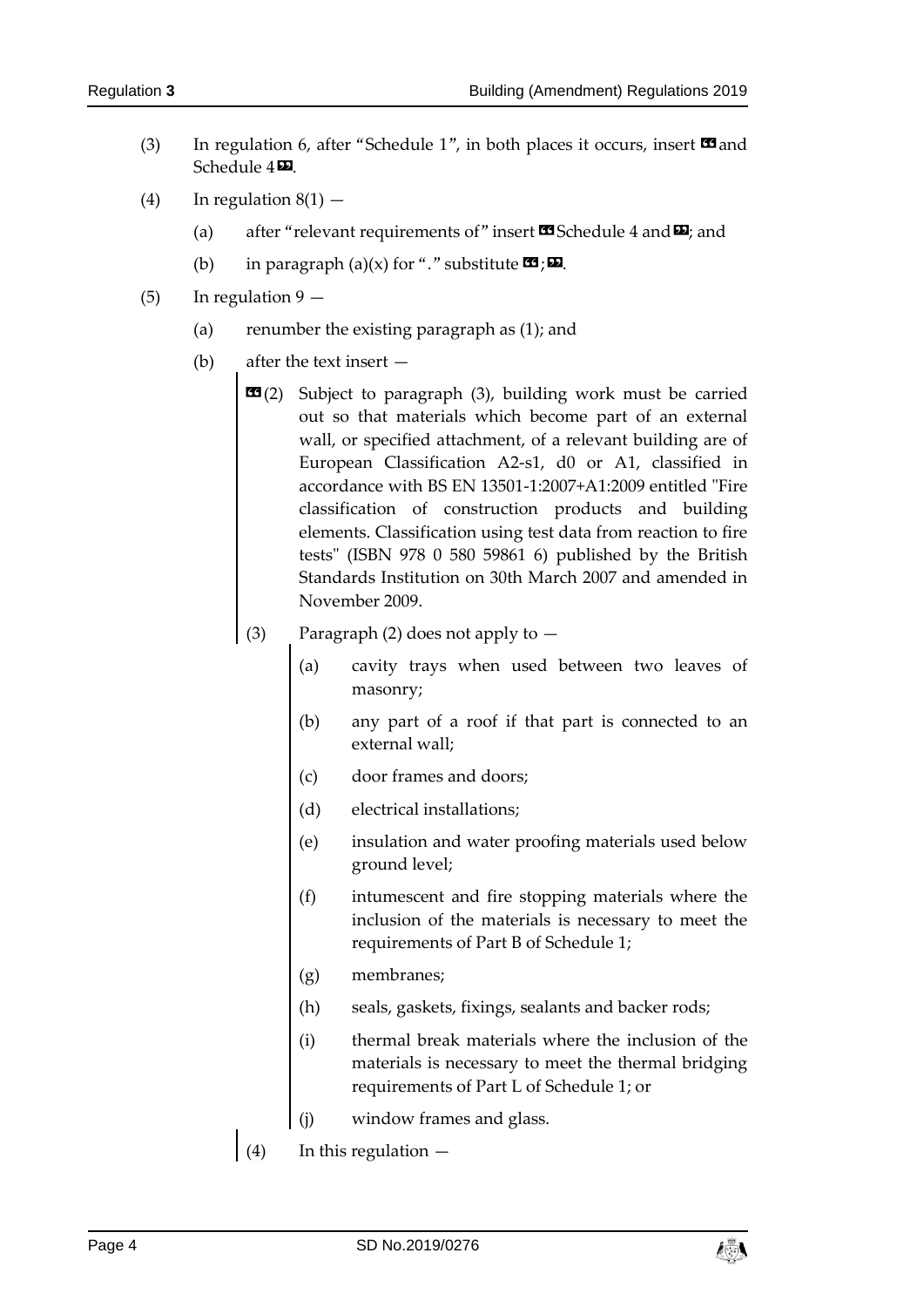- (3) In regulation 6, after "Schedule 1", in both places it occurs, insert  $\blacksquare$  and Schedule  $4\overline{22}$ .
- (4) In regulation  $8(1)$ 
	- (a) after "relevant requirements of" insert  $\mathbf{\mathfrak{A}}$  Schedule 4 and  $\mathbf{\Sigma}$ ; and
	- (b) in paragraph (a)(x) for "." substitute  $\mathbf{G}$ ; $\mathbf{D}$ .
- (5) In regulation  $9 -$ 
	- (a) renumber the existing paragraph as (1); and
	- (b) after the text insert
		- **EE**(2) Subject to paragraph (3), building work must be carried out so that materials which become part of an external wall, or specified attachment, of a relevant building are of European Classification A2-s1, d0 or A1, classified in accordance with BS EN 13501-1:2007+A1:2009 entitled "Fire classification of construction products and building elements. Classification using test data from reaction to fire tests" (ISBN 978 0 580 59861 6) published by the British Standards Institution on 30th March 2007 and amended in November 2009.
		- (3) Paragraph (2) does not apply to
			- (a) cavity trays when used between two leaves of masonry;
			- (b) any part of a roof if that part is connected to an external wall;
			- (c) door frames and doors;
			- (d) electrical installations;
			- (e) insulation and water proofing materials used below ground level;
			- (f) intumescent and fire stopping materials where the inclusion of the materials is necessary to meet the requirements of Part B of Schedule 1;
			- (g) membranes;
			- (h) seals, gaskets, fixings, sealants and backer rods;
			- (i) thermal break materials where the inclusion of the materials is necessary to meet the thermal bridging requirements of Part L of Schedule 1; or
			- (j) window frames and glass.
		- (4) In this regulation  $-$

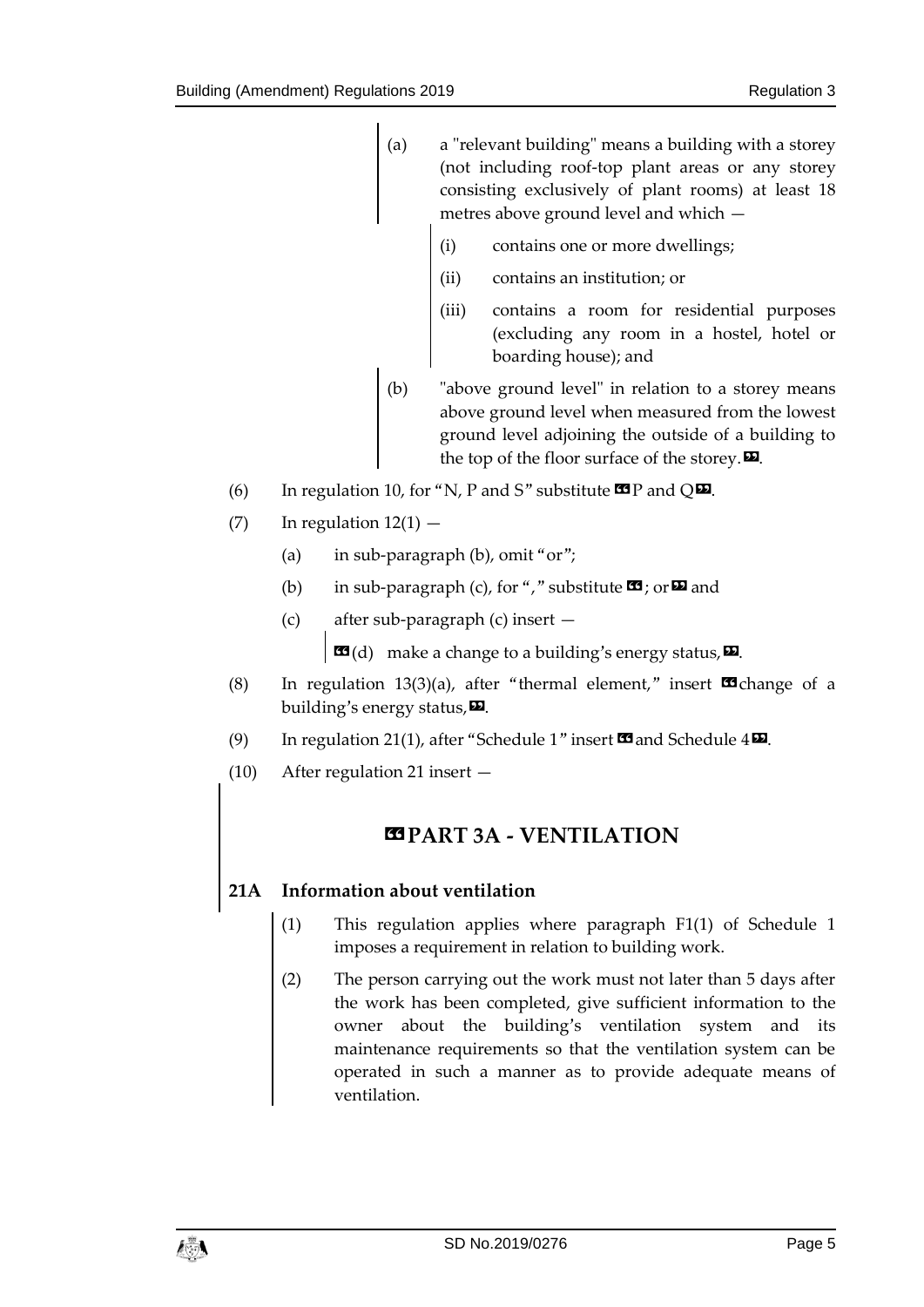- (a) a "relevant building" means a building with a storey (not including roof-top plant areas or any storey consisting exclusively of plant rooms) at least 18 metres above ground level and which —
	- (i) contains one or more dwellings;
	- (ii) contains an institution; or
	- (iii) contains a room for residential purposes (excluding any room in a hostel, hotel or boarding house); and
- (b) "above ground level" in relation to a storey means above ground level when measured from the lowest ground level adjoining the outside of a building to the top of the floor surface of the storey. $\mathbf{D}$ .
- (6) In regulation 10, for "N, P and S" substitute  $\mathbf{\mathfrak{B}}$  P and Q $\mathbf{\mathfrak{D}}$ .
- $(7)$  In regulation  $12(1)$ 
	- (a) in sub-paragraph (b), omit "or";
	- (b) in sub-paragraph (c), for "," substitute  $\mathbf{G}$ ; or  $\mathbf{D}$  and
	- (c) after sub-paragraph (c) insert —

 $\mathbf{G}(d)$  make a change to a building's energy status,  $\mathbf{E}$ .

- (8) In regulation 13(3)(a), after "thermal element," insert  $\blacksquare$  change of a building's energy status,  $\mathbf{E}$ .
- (9) In regulation 21(1), after "Schedule 1" insert  $\blacksquare$  and Schedule  $4\blacksquare$ .
- (10) After regulation 21 insert —

# **«PART 3A - VENTILATION**

## **21A Information about ventilation**

- (1) This regulation applies where paragraph F1(1) of Schedule 1 imposes a requirement in relation to building work.
- (2) The person carrying out the work must not later than 5 days after the work has been completed, give sufficient information to the owner about the building's ventilation system and its maintenance requirements so that the ventilation system can be operated in such a manner as to provide adequate means of ventilation.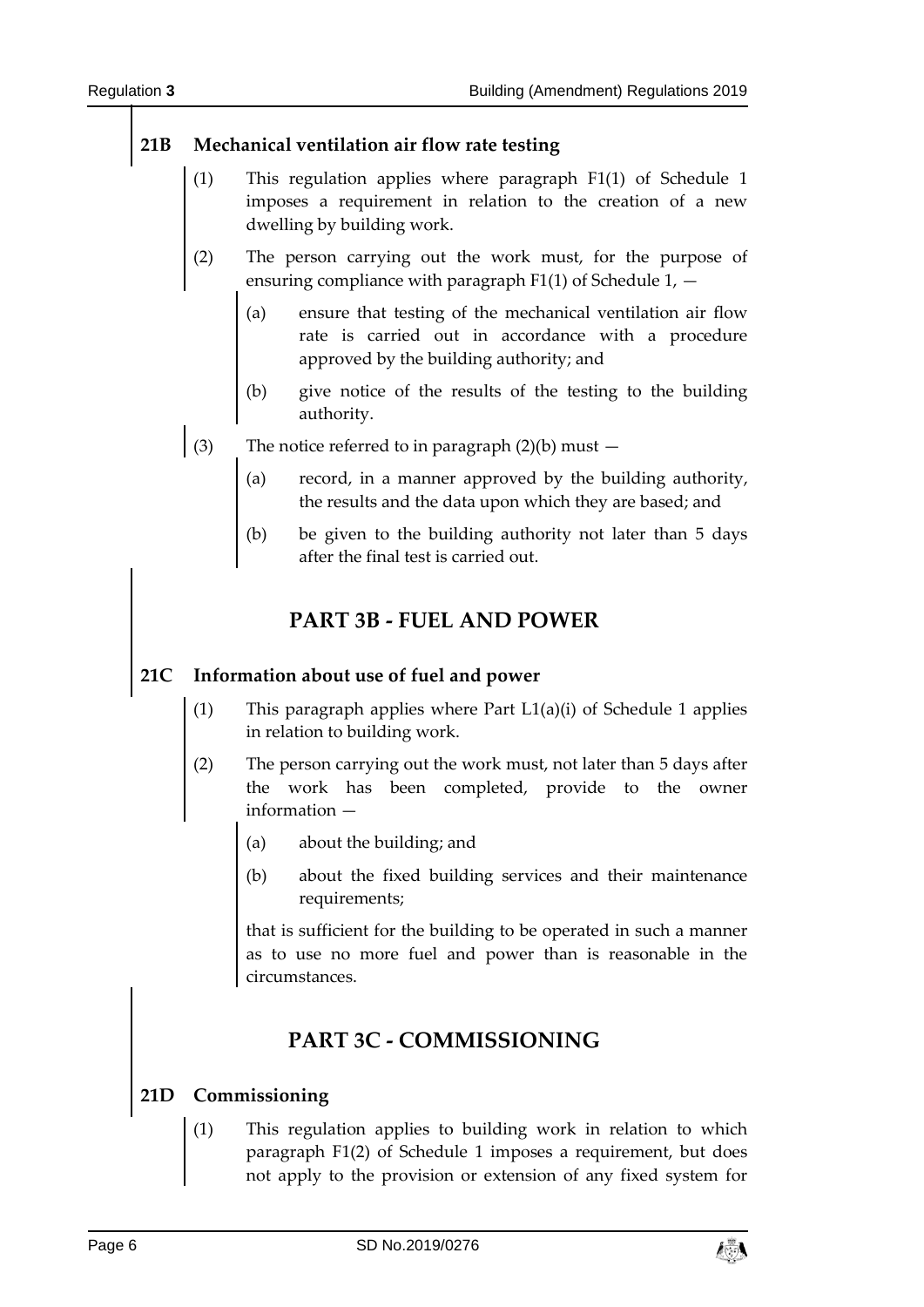## **21B Mechanical ventilation air flow rate testing**

- (1) This regulation applies where paragraph F1(1) of Schedule 1 imposes a requirement in relation to the creation of a new dwelling by building work.
- (2) The person carrying out the work must, for the purpose of ensuring compliance with paragraph  $F1(1)$  of Schedule 1,  $-$ 
	- (a) ensure that testing of the mechanical ventilation air flow rate is carried out in accordance with a procedure approved by the building authority; and
	- (b) give notice of the results of the testing to the building authority.
- (3) The notice referred to in paragraph (2)(b) must  $-$ 
	- (a) record, in a manner approved by the building authority, the results and the data upon which they are based; and
	- (b) be given to the building authority not later than 5 days after the final test is carried out.

# **PART 3B - FUEL AND POWER**

## **21C Information about use of fuel and power**

- (1) This paragraph applies where Part L1(a)(i) of Schedule 1 applies in relation to building work.
- (2) The person carrying out the work must, not later than 5 days after the work has been completed, provide to the owner information —
	- (a) about the building; and
	- (b) about the fixed building services and their maintenance requirements;

that is sufficient for the building to be operated in such a manner as to use no more fuel and power than is reasonable in the circumstances.

# **PART 3C - COMMISSIONING**

## **21D Commissioning**

(1) This regulation applies to building work in relation to which paragraph F1(2) of Schedule 1 imposes a requirement, but does not apply to the provision or extension of any fixed system for

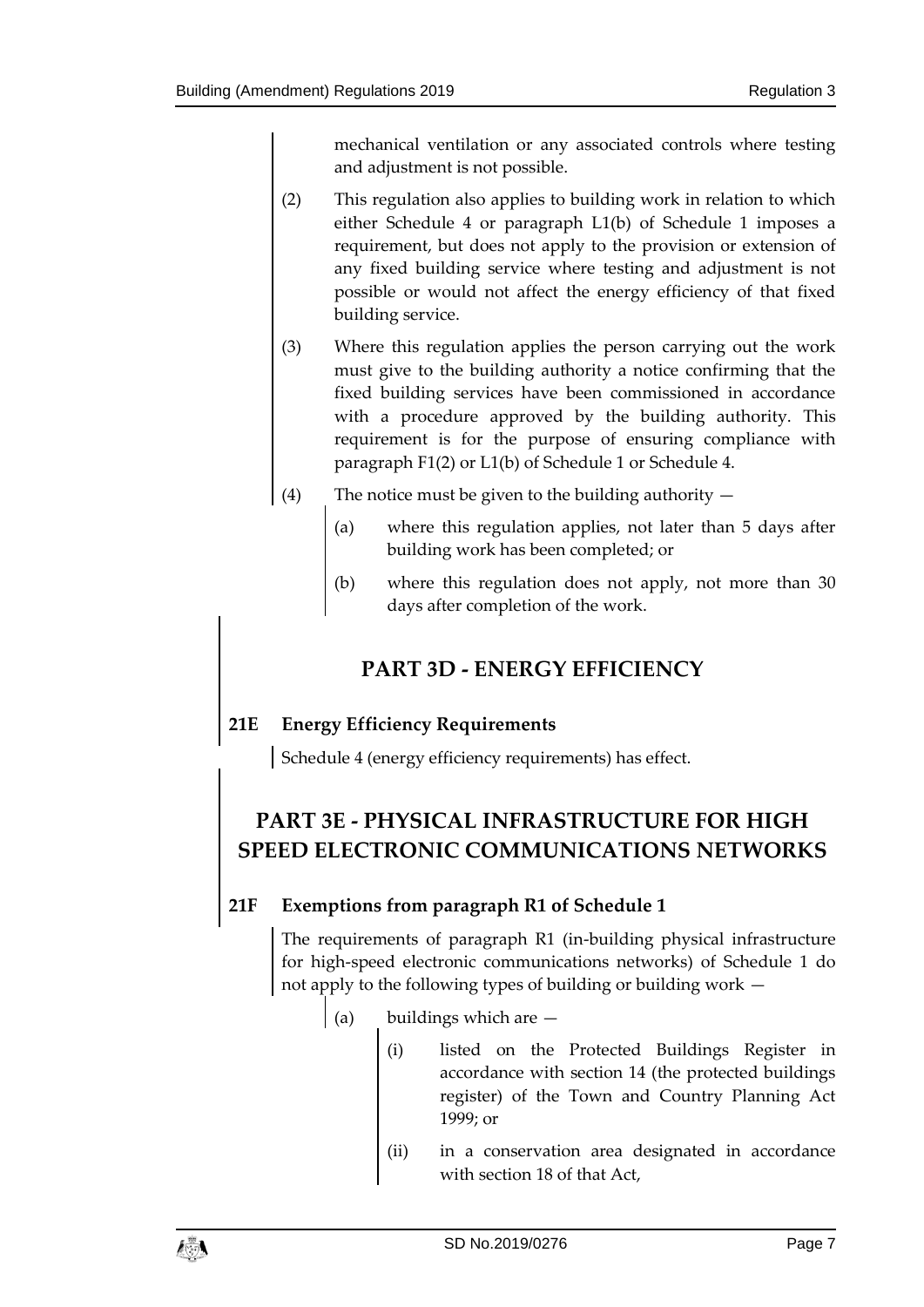mechanical ventilation or any associated controls where testing and adjustment is not possible.

- (2) This regulation also applies to building work in relation to which either Schedule 4 or paragraph L1(b) of Schedule 1 imposes a requirement, but does not apply to the provision or extension of any fixed building service where testing and adjustment is not possible or would not affect the energy efficiency of that fixed building service.
- (3) Where this regulation applies the person carrying out the work must give to the building authority a notice confirming that the fixed building services have been commissioned in accordance with a procedure approved by the building authority. This requirement is for the purpose of ensuring compliance with paragraph F1(2) or L1(b) of Schedule 1 or Schedule 4.
- (4) The notice must be given to the building authority  $-$ 
	- (a) where this regulation applies, not later than 5 days after building work has been completed; or
	- (b) where this regulation does not apply, not more than 30 days after completion of the work.

# **PART 3D - ENERGY EFFICIENCY**

## **21E Energy Efficiency Requirements**

Schedule 4 (energy efficiency requirements) has effect.

# **PART 3E - PHYSICAL INFRASTRUCTURE FOR HIGH SPEED ELECTRONIC COMMUNICATIONS NETWORKS**

## **21F Exemptions from paragraph R1 of Schedule 1**

The requirements of paragraph R1 (in-building physical infrastructure for high-speed electronic communications networks) of Schedule 1 do not apply to the following types of building or building work —

- (a) buildings which are  $-$ 
	- (i) listed on the Protected Buildings Register in accordance with section 14 (the protected buildings register) of the Town and Country Planning Act 1999; or
	- (ii) in a conservation area designated in accordance with section 18 of that Act,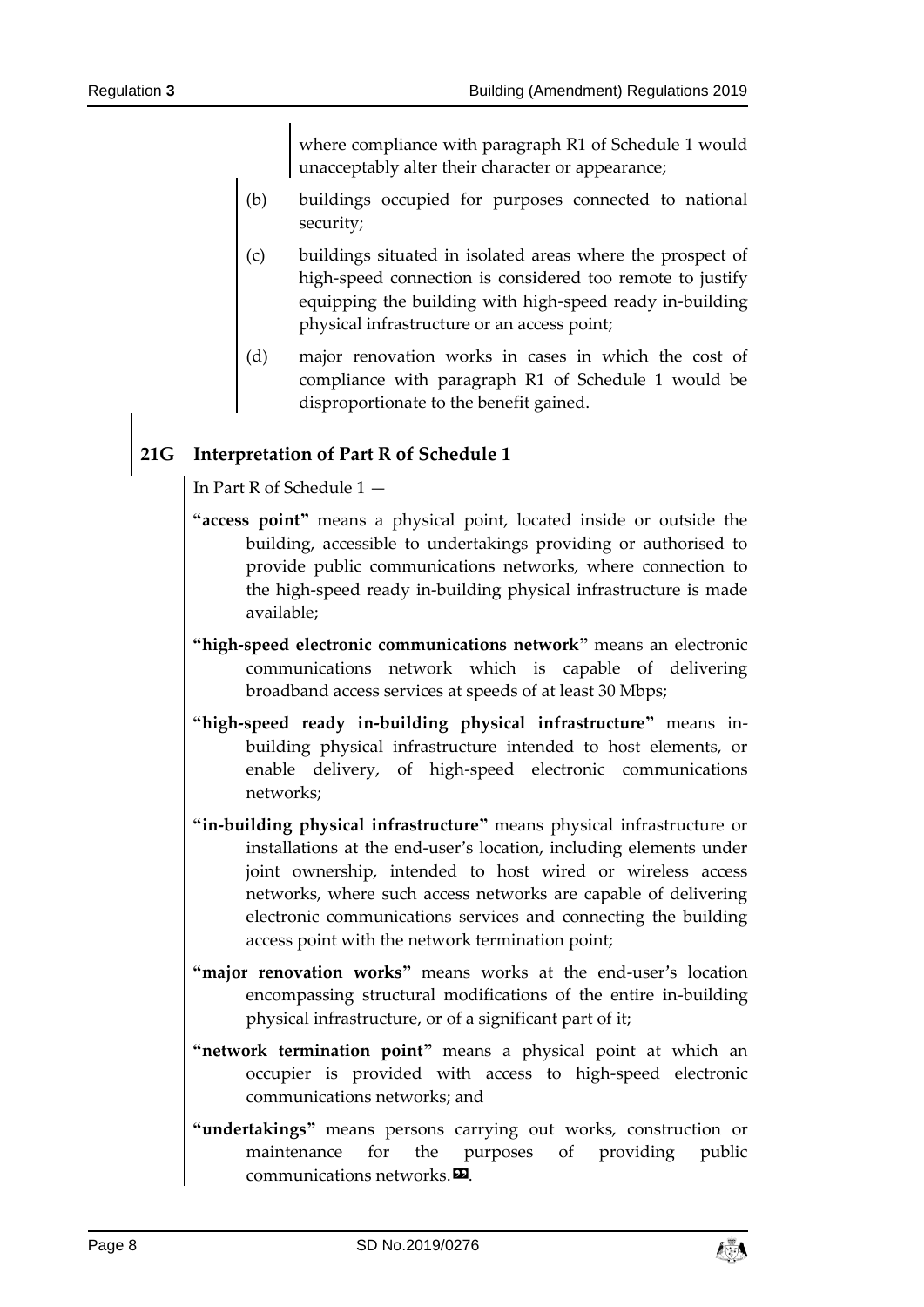where compliance with paragraph R1 of Schedule 1 would unacceptably alter their character or appearance;

- (b) buildings occupied for purposes connected to national security;
- (c) buildings situated in isolated areas where the prospect of high-speed connection is considered too remote to justify equipping the building with high-speed ready in-building physical infrastructure or an access point;
- (d) major renovation works in cases in which the cost of compliance with paragraph R1 of Schedule 1 would be disproportionate to the benefit gained.

## **21G Interpretation of Part R of Schedule 1**

In Part R of Schedule 1 —

- **"access point"** means a physical point, located inside or outside the building, accessible to undertakings providing or authorised to provide public communications networks, where connection to the high-speed ready in-building physical infrastructure is made available;
- **"high-speed electronic communications network"** means an electronic communications network which is capable of delivering broadband access services at speeds of at least 30 Mbps;
- **"high-speed ready in-building physical infrastructure"** means inbuilding physical infrastructure intended to host elements, or enable delivery, of high-speed electronic communications networks;
- **"in-building physical infrastructure"** means physical infrastructure or installations at the end-user's location, including elements under joint ownership, intended to host wired or wireless access networks, where such access networks are capable of delivering electronic communications services and connecting the building access point with the network termination point;
- **"major renovation works"** means works at the end-user's location encompassing structural modifications of the entire in-building physical infrastructure, or of a significant part of it;
- **"network termination point"** means a physical point at which an occupier is provided with access to high-speed electronic communications networks; and
- **"undertakings"** means persons carrying out works, construction or maintenance for the purposes of providing public communications networks. $\boldsymbol{\mathsf{\Xi}}$ .

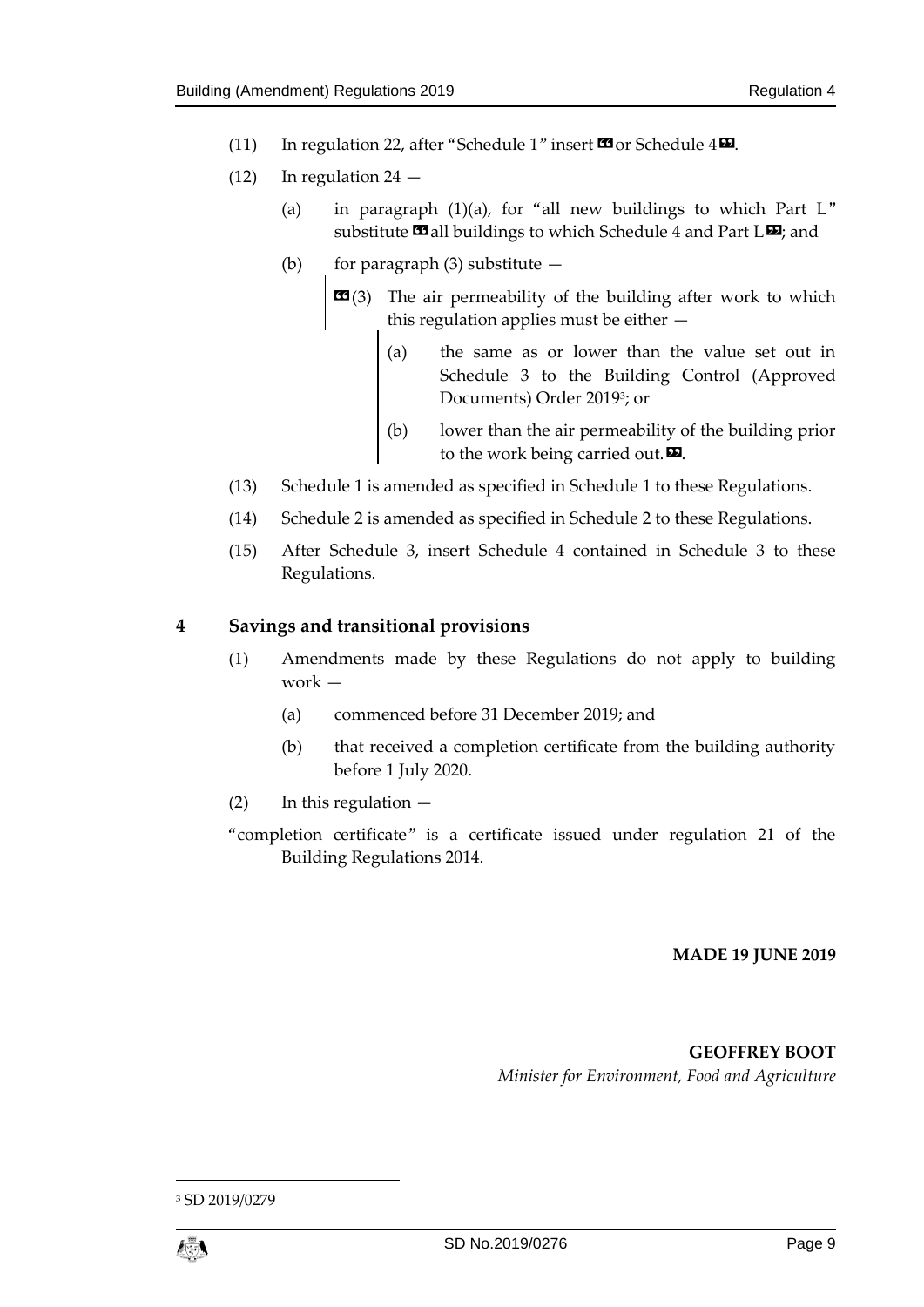- (11) In regulation 22, after "Schedule 1" insert  $\blacksquare$  or Schedule 4 $\blacksquare$ .
- $(12)$  In regulation 24
	- (a) in paragraph  $(1)(a)$ , for "all new buildings to which Part L" substitute  $\blacksquare$  all buildings to which Schedule 4 and Part L $\blacksquare$ ; and
	- (b) for paragraph  $(3)$  substitute  $-$ 
		- **EG**(3) The air permeability of the building after work to which this regulation applies must be either —
			- (a) the same as or lower than the value set out in Schedule 3 to the Building Control (Approved Documents) Order 2019<sup>3</sup> ; or
			- (b) lower than the air permeability of the building prior to the work being carried out.  $\mathbf{E}$ .
- (13) Schedule 1 is amended as specified in Schedule 1 to these Regulations.
- (14) Schedule 2 is amended as specified in Schedule 2 to these Regulations.
- (15) After Schedule 3, insert Schedule 4 contained in Schedule 3 to these Regulations.

## <span id="page-8-0"></span>**4 Savings and transitional provisions**

- (1) Amendments made by these Regulations do not apply to building work —
	- (a) commenced before 31 December 2019; and
	- (b) that received a completion certificate from the building authority before 1 July 2020.
- $(2)$  In this regulation  $-$
- "completion certificate" is a certificate issued under regulation 21 of the Building Regulations 2014.

#### **MADE 19 JUNE 2019**

**GEOFFREY BOOT** *Minister for Environment, Food and Agriculture*

1

<sup>3</sup> SD 2019/0279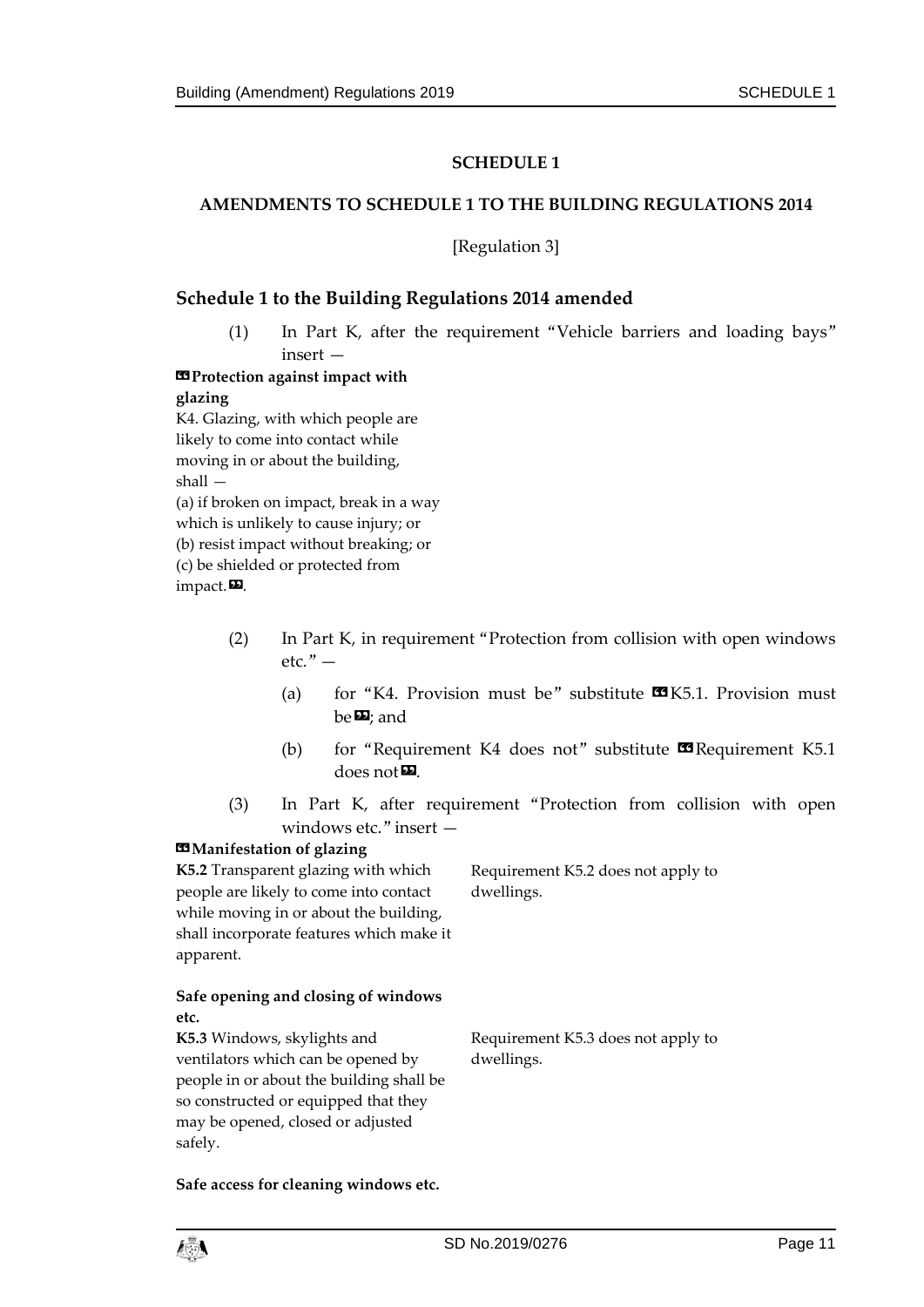## **SCHEDULE 1**

#### <span id="page-10-1"></span><span id="page-10-0"></span>**AMENDMENTS TO SCHEDULE 1 TO THE BUILDING REGULATIONS 2014**

[Regulation 3]

#### **Schedule 1 to the Building Regulations 2014 amended**

(1) In Part K, after the requirement "Vehicle barriers and loading bays" insert —

**«Protection against impact with glazing** K4. Glazing, with which people are

likely to come into contact while moving in or about the building, shall — (a) if broken on impact, break in a way which is unlikely to cause injury; or (b) resist impact without breaking; or (c) be shielded or protected from impact.<sub> $\blacksquare$ .</sub>

- (2) In Part K, in requirement "Protection from collision with open windows  $etc.$ " —
	- (a) for "K4. Provision must be" substitute  $\mathbf{M}$ K5.1. Provision must be**D**; and
	- (b) for "Requirement K4 does not" substitute  $\blacksquare$  Requirement K5.1  $does not$  $\n **2**$ .
- (3) In Part K, after requirement "Protection from collision with open windows etc." insert —

#### $**II**$  **Manifestation of glazing**

**K5.2** Transparent glazing with which people are likely to come into contact while moving in or about the building, shall incorporate features which make it apparent.

Requirement K5.2 does not apply to dwellings.

#### **Safe opening and closing of windows etc.**

**K5.3** Windows, skylights and ventilators which can be opened by people in or about the building shall be so constructed or equipped that they may be opened, closed or adjusted safely.

Requirement K5.3 does not apply to dwellings.

**Safe access for cleaning windows etc.**

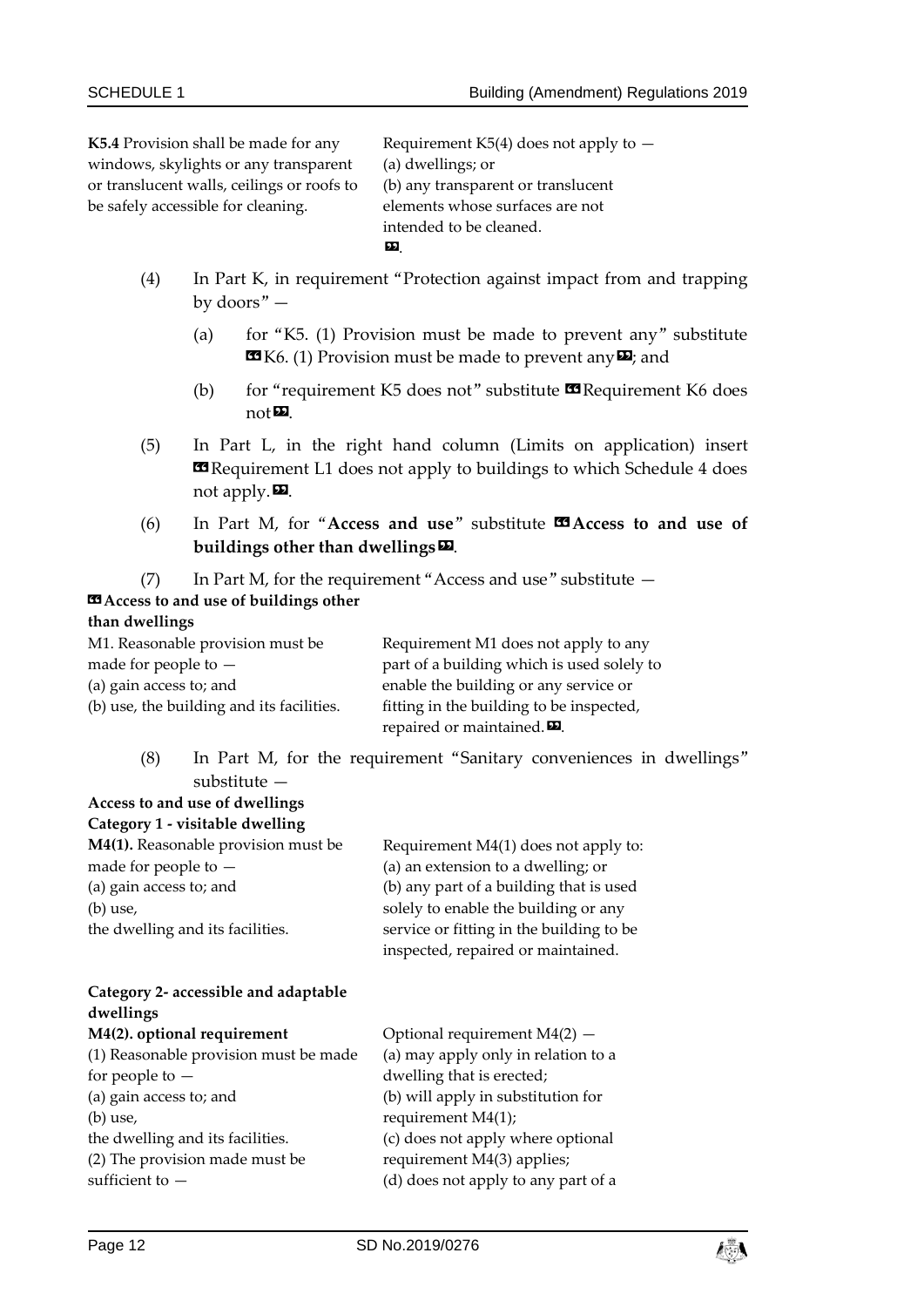**K5.4** Provision shall be made for any windows, skylights or any transparent or translucent walls, ceilings or roofs to be safely accessible for cleaning.

Requirement K5(4) does not apply to  $-$ (a) dwellings; or (b) any transparent or translucent elements whose surfaces are not intended to be cleaned. ».

- (4) In Part K, in requirement "Protection against impact from and trapping by doors" —
	- (a) for "K5. (1) Provision must be made to prevent any" substitute  $\mathbf{K}$  K6. (1) Provision must be made to prevent any  $\mathbf{E}$ ; and
	- (b) for "requirement K5 does not" substitute  $\Box$  Requirement K6 does  $not \mathbf{E}$ .
- (5) In Part L, in the right hand column (Limits on application) insert **Examplement L1** does not apply to buildings to which Schedule 4 does not apply. $\mathbf{D}$ .
- (6) In Part M, for "Access and use" substitute  $\mathbb{Z}$  Access to and use of **buildings other than dwellings**».
- (7) In Part M, for the requirement "Access and use" substitute  $-$

## **«Access to and use of buildings other**

**Access to and use of dwellings**

### **than dwellings**

| M1. Reasonable provision must be          | Requirement M1 does not apply to any         |
|-------------------------------------------|----------------------------------------------|
| made for people to $-$                    | part of a building which is used solely to   |
| (a) gain access to; and                   | enable the building or any service or        |
| (b) use, the building and its facilities. | fitting in the building to be inspected,     |
|                                           | repaired or maintained. $\boldsymbol{\Xi}$ . |

(8) In Part M, for the requirement "Sanitary conveniences in dwellings" substitute —

> Optional requirement M4(2) — (a) may apply only in relation to a

dwelling that is erected;

| Category 1 - visitable dwelling     |                                          |  |  |
|-------------------------------------|------------------------------------------|--|--|
| M4(1). Reasonable provision must be | Requirement M4(1) does not apply to:     |  |  |
| made for people to $-$              | (a) an extension to a dwelling; or       |  |  |
| (a) gain access to; and             | (b) any part of a building that is used  |  |  |
| $(b)$ use,                          | solely to enable the building or any     |  |  |
| the dwelling and its facilities.    | service or fitting in the building to be |  |  |
|                                     | inspected, repaired or maintained.       |  |  |
|                                     |                                          |  |  |

### **Category 2- accessible and adaptable dwellings M4(2). optional requirement** (1) Reasonable provision must be made for people to —

| (a) gain access to; and          | (b) will apply in substitution for  |
|----------------------------------|-------------------------------------|
| $(b)$ use,                       | requirement $M4(1)$ ;               |
| the dwelling and its facilities. | (c) does not apply where optional   |
| (2) The provision made must be   | requirement M4(3) applies;          |
| sufficient to $-$                | (d) does not apply to any part of a |
|                                  |                                     |

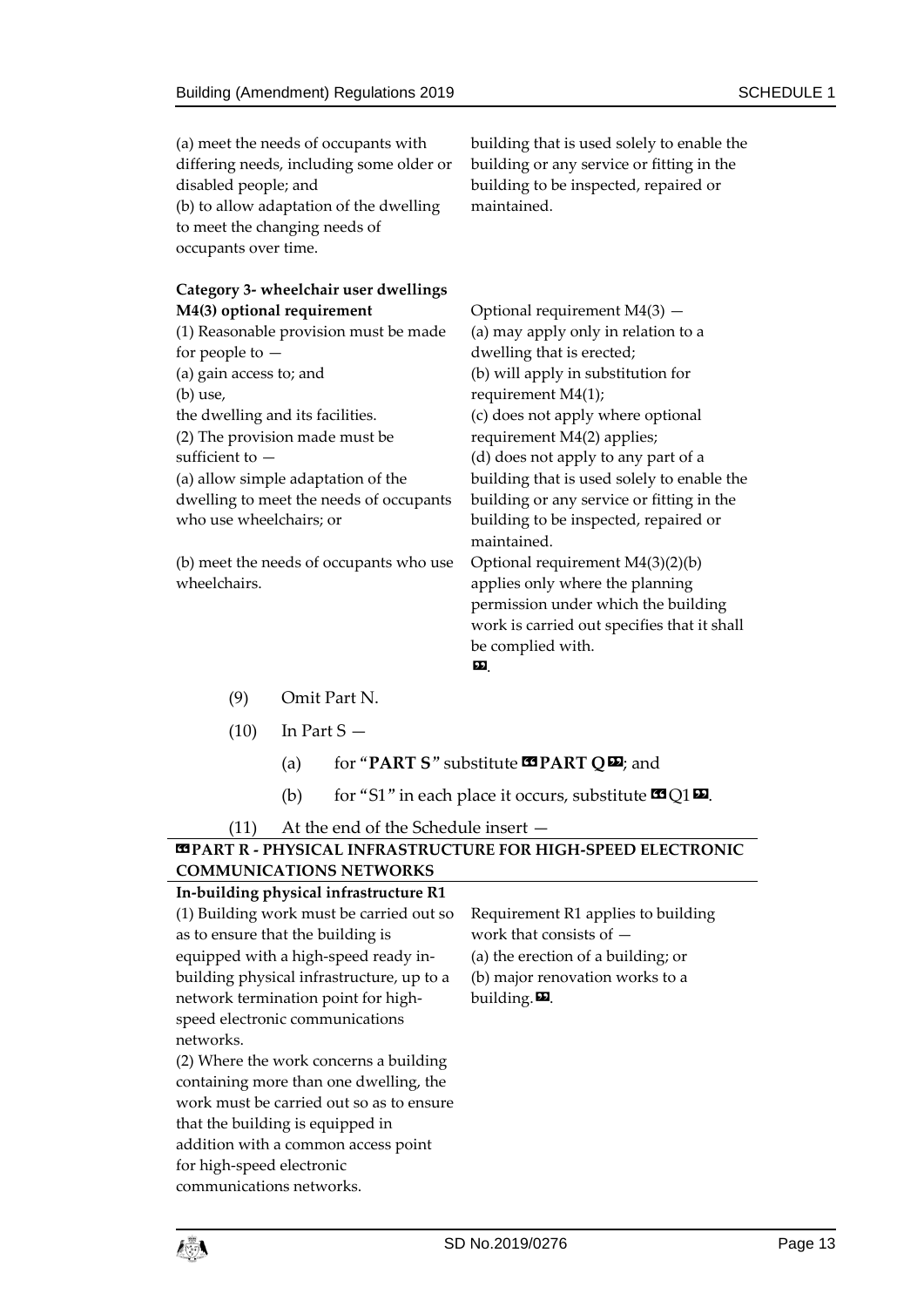| (a) meet the needs of occupants with<br>differing needs, including some older or<br>disabled people; and<br>(b) to allow adaptation of the dwelling<br>to meet the changing needs of<br>occupants over time. | building that is used solely to enable the<br>building or any service or fitting in the<br>building to be inspected, repaired or<br>maintained. |
|--------------------------------------------------------------------------------------------------------------------------------------------------------------------------------------------------------------|-------------------------------------------------------------------------------------------------------------------------------------------------|
| <b>Category 3- wheelchair user dwellings</b>                                                                                                                                                                 |                                                                                                                                                 |
| M4(3) optional requirement                                                                                                                                                                                   | Optional requirement $M4(3)$ -                                                                                                                  |
| (1) Reasonable provision must be made                                                                                                                                                                        | (a) may apply only in relation to a                                                                                                             |
| for people to $-$                                                                                                                                                                                            | dwelling that is erected;                                                                                                                       |
| (a) gain access to; and                                                                                                                                                                                      | (b) will apply in substitution for                                                                                                              |
| (b) use,                                                                                                                                                                                                     | requirement M4(1);                                                                                                                              |
| the dwelling and its facilities.                                                                                                                                                                             | (c) does not apply where optional                                                                                                               |
| (2) The provision made must be                                                                                                                                                                               | requirement M4(2) applies;                                                                                                                      |
| sufficient to -                                                                                                                                                                                              | (d) does not apply to any part of a                                                                                                             |
| (a) allow simple adaptation of the                                                                                                                                                                           | building that is used solely to enable the                                                                                                      |
| dwelling to meet the needs of occupants                                                                                                                                                                      | building or any service or fitting in the                                                                                                       |
| who use wheelchairs; or                                                                                                                                                                                      | building to be inspected, repaired or<br>maintained.                                                                                            |
| (b) meet the needs of occupants who use                                                                                                                                                                      | Optional requirement M4(3)(2)(b)                                                                                                                |
| wheelchairs.                                                                                                                                                                                                 | applies only where the planning                                                                                                                 |
|                                                                                                                                                                                                              | permission under which the building                                                                                                             |
|                                                                                                                                                                                                              | work is carried out specifies that it shall                                                                                                     |
|                                                                                                                                                                                                              | be complied with.                                                                                                                               |
|                                                                                                                                                                                                              | 99                                                                                                                                              |

- (9) Omit Part N.
- $(10)$  In Part S
	- (a) for "**PART S**" substitute «**PART Q**»; and
	- (b) for "S1" in each place it occurs, substitute  $\Omega$ Q1 $\Omega$ .

(11) At the end of the Schedule insert —

## **«PART R - PHYSICAL INFRASTRUCTURE FOR HIGH-SPEED ELECTRONIC COMMUNICATIONS NETWORKS**

| In-building physical infrastructure R1    |                                    |
|-------------------------------------------|------------------------------------|
| (1) Building work must be carried out so  | Requirement R1 applies to building |
| as to ensure that the building is         | work that consists of $-$          |
| equipped with a high-speed ready in-      | (a) the erection of a building; or |
| building physical infrastructure, up to a | (b) major renovation works to a    |
| network termination point for high-       | building. $\mathbf{E}$ .           |
| speed electronic communications           |                                    |
| networks.                                 |                                    |
| (2) Where the work concerns a building    |                                    |
| containing more than one dwelling, the    |                                    |
| work must be carried out so as to ensure  |                                    |
| that the building is equipped in          |                                    |
| addition with a common access point       |                                    |
| for high-speed electronic                 |                                    |
| communications networks.                  |                                    |
|                                           |                                    |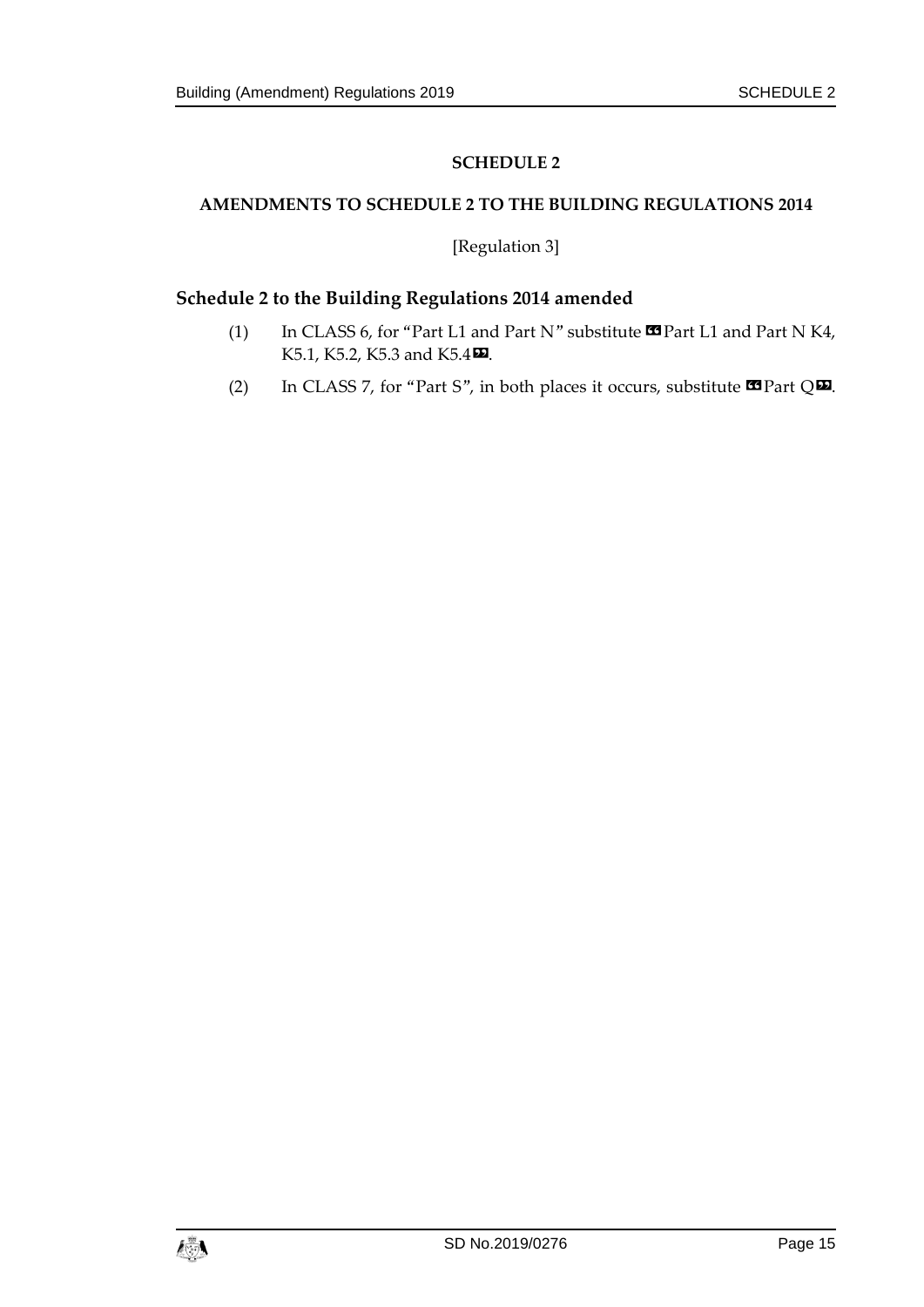## **SCHEDULE 2**

## <span id="page-14-1"></span><span id="page-14-0"></span>**AMENDMENTS TO SCHEDULE 2 TO THE BUILDING REGULATIONS 2014**

[Regulation 3]

## **Schedule 2 to the Building Regulations 2014 amended**

- (1) In CLASS 6, for "Part L1 and Part N" substitute  $\blacksquare$  Part L1 and Part N K4, K5.1, K5.2, K5.3 and K5.4 $\Omega$ .
- (2) In CLASS 7, for "Part S", in both places it occurs, substitute  $\blacksquare$  Part Q $\blacksquare$ .

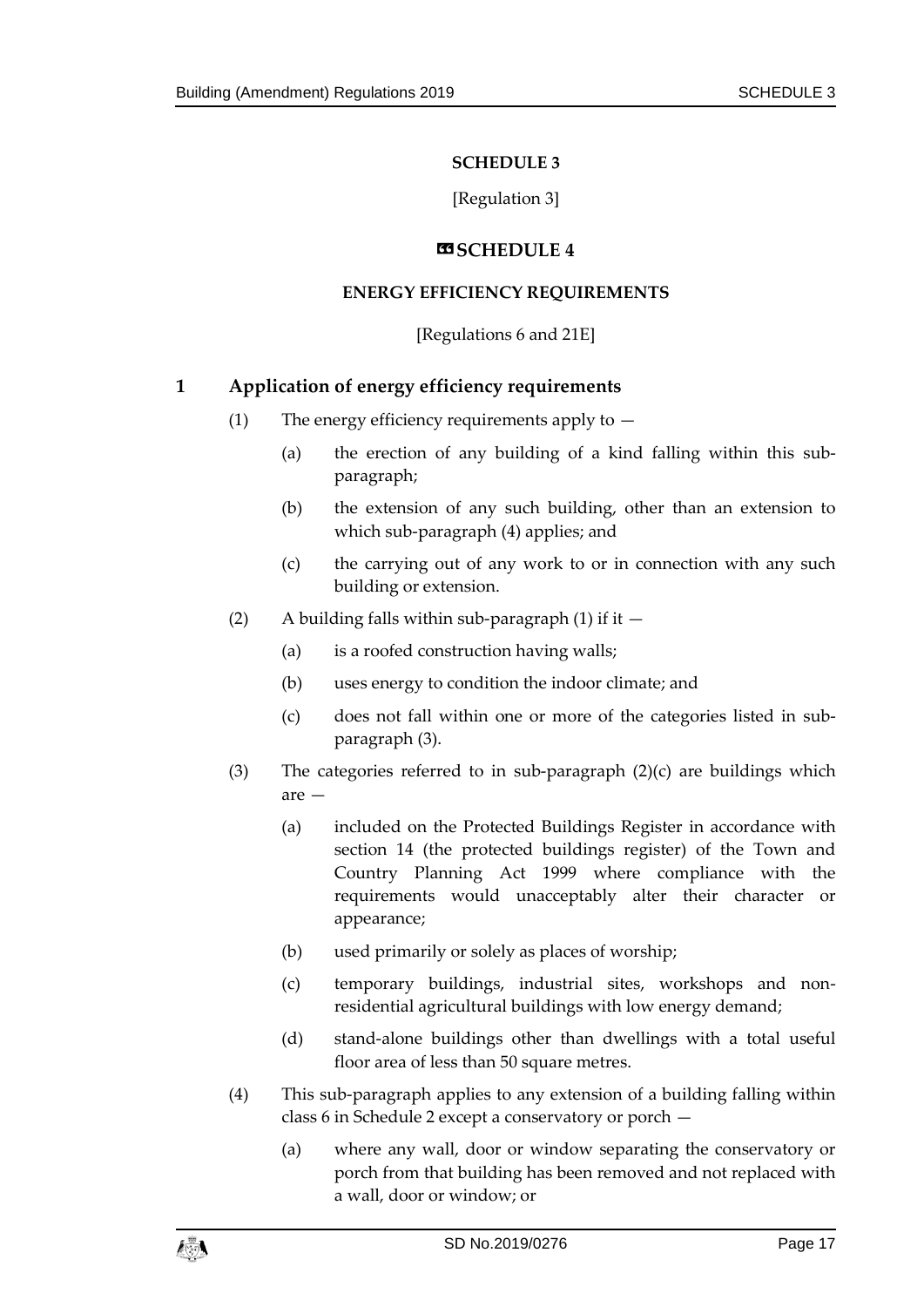## **SCHEDULE 3**

[Regulation 3]

### **«SCHEDULE 4**

### <span id="page-16-0"></span>**ENERGY EFFICIENCY REQUIREMENTS**

## [Regulations 6 and 21E]

## <span id="page-16-1"></span>**1 Application of energy efficiency requirements**

- (1) The energy efficiency requirements apply to  $-$ 
	- (a) the erection of any building of a kind falling within this subparagraph;
	- (b) the extension of any such building, other than an extension to which sub-paragraph (4) applies; and
	- (c) the carrying out of any work to or in connection with any such building or extension.
- (2) A building falls within sub-paragraph (1) if it  $-$ 
	- (a) is a roofed construction having walls;
	- (b) uses energy to condition the indoor climate; and
	- (c) does not fall within one or more of the categories listed in subparagraph (3).
- (3) The categories referred to in sub-paragraph (2)(c) are buildings which are —
	- (a) included on the Protected Buildings Register in accordance with section 14 (the protected buildings register) of the Town and Country Planning Act 1999 where compliance with the requirements would unacceptably alter their character or appearance;
	- (b) used primarily or solely as places of worship;
	- (c) temporary buildings, industrial sites, workshops and nonresidential agricultural buildings with low energy demand;
	- (d) stand-alone buildings other than dwellings with a total useful floor area of less than 50 square metres.
- (4) This sub-paragraph applies to any extension of a building falling within class 6 in Schedule 2 except a conservatory or porch —
	- (a) where any wall, door or window separating the conservatory or porch from that building has been removed and not replaced with a wall, door or window; or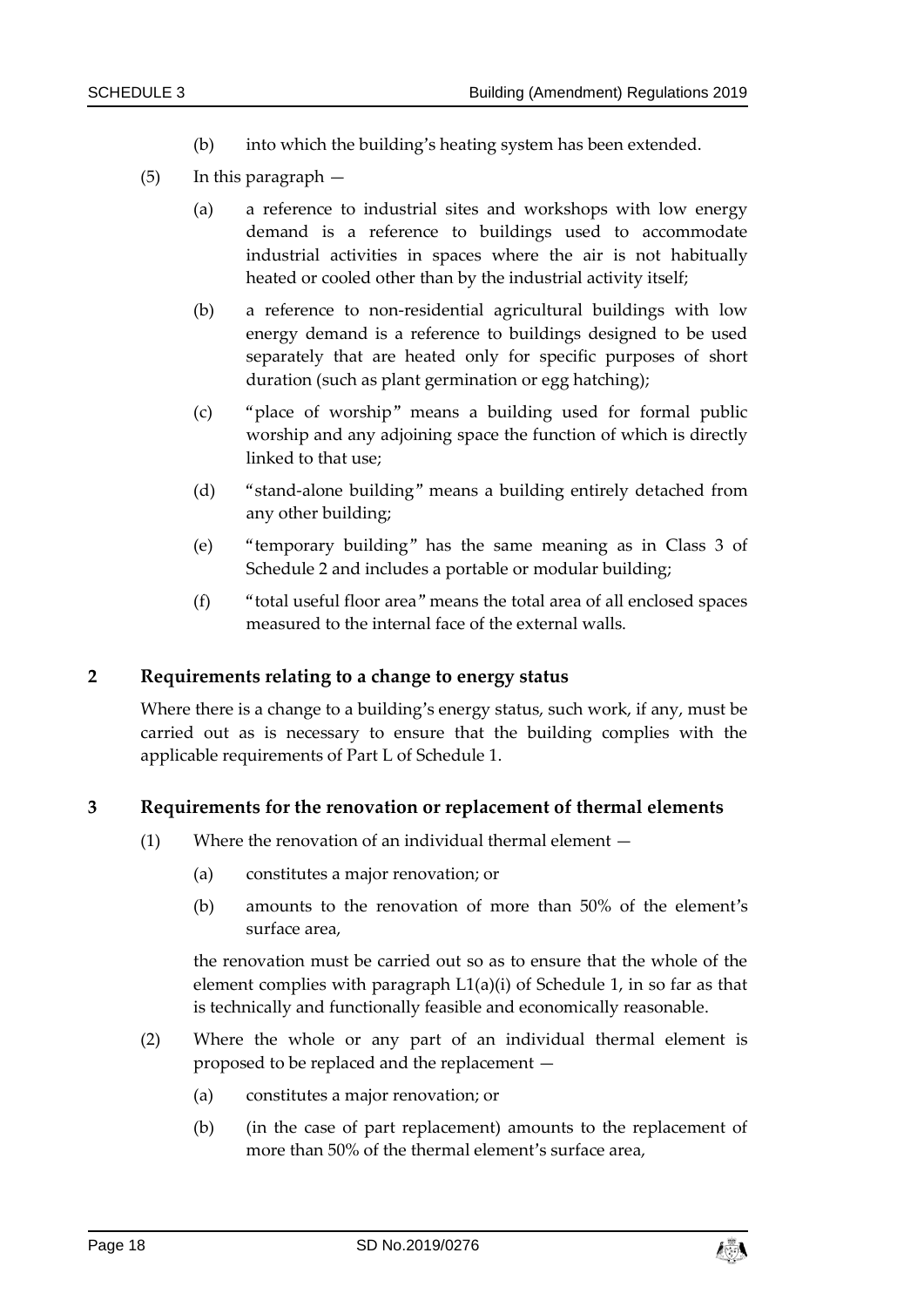- (b) into which the building's heating system has been extended.
- (5) In this paragraph
	- (a) a reference to industrial sites and workshops with low energy demand is a reference to buildings used to accommodate industrial activities in spaces where the air is not habitually heated or cooled other than by the industrial activity itself;
	- (b) a reference to non-residential agricultural buildings with low energy demand is a reference to buildings designed to be used separately that are heated only for specific purposes of short duration (such as plant germination or egg hatching);
	- (c) "place of worship" means a building used for formal public worship and any adjoining space the function of which is directly linked to that use;
	- (d) "stand-alone building" means a building entirely detached from any other building;
	- (e) "temporary building" has the same meaning as in Class 3 of Schedule 2 and includes a portable or modular building;
	- (f) "total useful floor area" means the total area of all enclosed spaces measured to the internal face of the external walls.

## **2 Requirements relating to a change to energy status**

Where there is a change to a building's energy status, such work, if any, must be carried out as is necessary to ensure that the building complies with the applicable requirements of Part L of Schedule 1.

#### **3 Requirements for the renovation or replacement of thermal elements**

- (1) Where the renovation of an individual thermal element
	- (a) constitutes a major renovation; or
	- (b) amounts to the renovation of more than 50% of the element's surface area,

the renovation must be carried out so as to ensure that the whole of the element complies with paragraph L1(a)(i) of Schedule 1, in so far as that is technically and functionally feasible and economically reasonable.

- (2) Where the whole or any part of an individual thermal element is proposed to be replaced and the replacement —
	- (a) constitutes a major renovation; or
	- (b) (in the case of part replacement) amounts to the replacement of more than 50% of the thermal element's surface area,

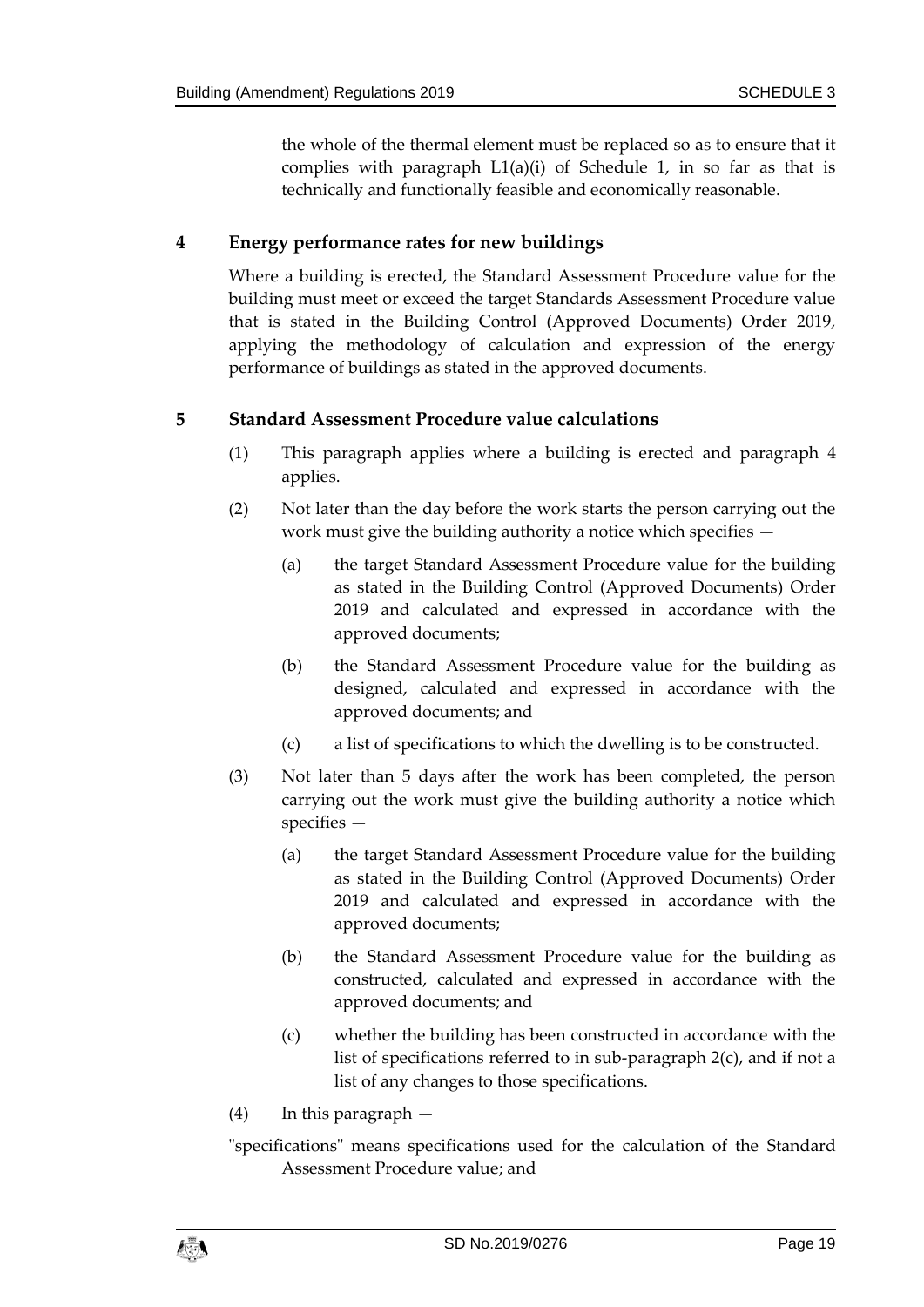the whole of the thermal element must be replaced so as to ensure that it complies with paragraph  $L_1(a)(i)$  of Schedule 1, in so far as that is technically and functionally feasible and economically reasonable.

## **4 Energy performance rates for new buildings**

Where a building is erected, the Standard Assessment Procedure value for the building must meet or exceed the target Standards Assessment Procedure value that is stated in the Building Control (Approved Documents) Order 2019, applying the methodology of calculation and expression of the energy performance of buildings as stated in the approved documents.

#### **5 Standard Assessment Procedure value calculations**

- (1) This paragraph applies where a building is erected and paragraph 4 applies.
- (2) Not later than the day before the work starts the person carrying out the work must give the building authority a notice which specifies —
	- (a) the target Standard Assessment Procedure value for the building as stated in the Building Control (Approved Documents) Order 2019 and calculated and expressed in accordance with the approved documents;
	- (b) the Standard Assessment Procedure value for the building as designed, calculated and expressed in accordance with the approved documents; and
	- (c) a list of specifications to which the dwelling is to be constructed.
- (3) Not later than 5 days after the work has been completed, the person carrying out the work must give the building authority a notice which specifies —
	- (a) the target Standard Assessment Procedure value for the building as stated in the Building Control (Approved Documents) Order 2019 and calculated and expressed in accordance with the approved documents;
	- (b) the Standard Assessment Procedure value for the building as constructed, calculated and expressed in accordance with the approved documents; and
	- (c) whether the building has been constructed in accordance with the list of specifications referred to in sub-paragraph 2(c), and if not a list of any changes to those specifications.
- (4) In this paragraph —
- "specifications" means specifications used for the calculation of the Standard Assessment Procedure value; and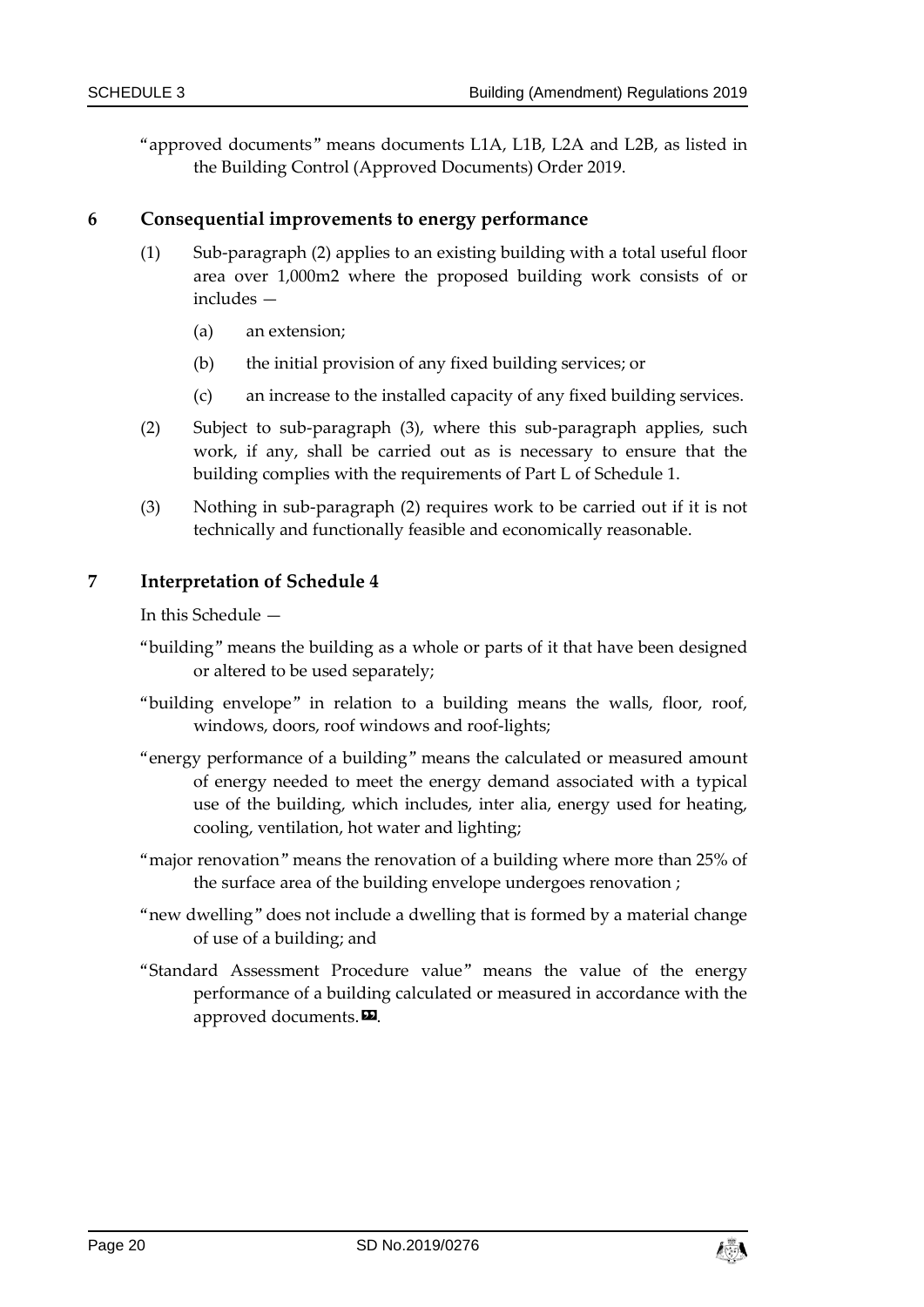"approved documents" means documents L1A, L1B, L2A and L2B, as listed in the Building Control (Approved Documents) Order 2019.

#### **6 Consequential improvements to energy performance**

- (1) Sub-paragraph (2) applies to an existing building with a total useful floor area over 1,000m2 where the proposed building work consists of or includes —
	- (a) an extension;
	- (b) the initial provision of any fixed building services; or
	- (c) an increase to the installed capacity of any fixed building services.
- (2) Subject to sub-paragraph (3), where this sub-paragraph applies, such work, if any, shall be carried out as is necessary to ensure that the building complies with the requirements of Part L of Schedule 1.
- (3) Nothing in sub-paragraph (2) requires work to be carried out if it is not technically and functionally feasible and economically reasonable.

#### **7 Interpretation of Schedule 4**

In this Schedule —

- "building" means the building as a whole or parts of it that have been designed or altered to be used separately;
- "building envelope" in relation to a building means the walls, floor, roof, windows, doors, roof windows and roof-lights;
- "energy performance of a building" means the calculated or measured amount of energy needed to meet the energy demand associated with a typical use of the building, which includes, inter alia, energy used for heating, cooling, ventilation, hot water and lighting;
- "major renovation" means the renovation of a building where more than 25% of the surface area of the building envelope undergoes renovation ;
- "new dwelling" does not include a dwelling that is formed by a material change of use of a building; and
- "Standard Assessment Procedure value" means the value of the energy performance of a building calculated or measured in accordance with the approved documents.<sup>22</sup>.